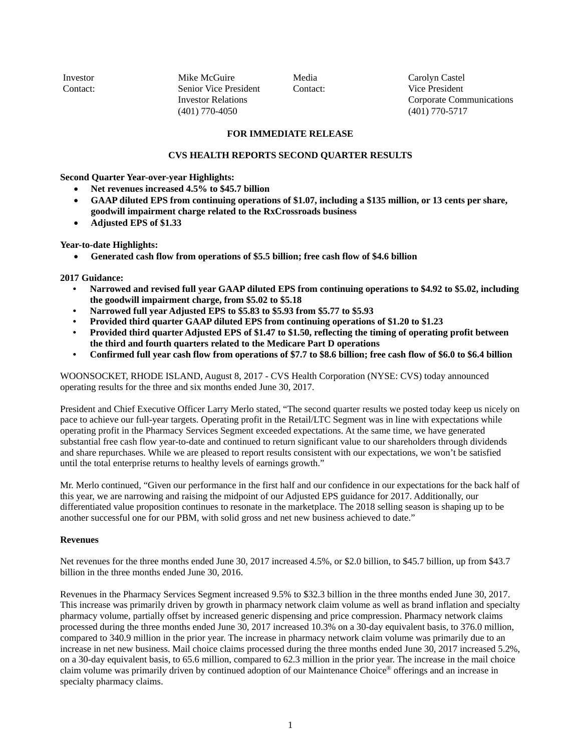Investor Relations (401) 770-4050  $(401)$  770-4050 Investor Mike McGuire Contact: Senior Vice President

Media Carolyn Castel Contact: Vice President Corporate Communications (401) 770-5717

### **FOR IMMEDIATE RELEASE**

### **CVS HEALTH REPORTS SECOND QUARTER RESULTS**

**Second Quarter Year-over-year Highlights:** 

- **Net revenues increased 4.5% to \$45.7 billion**
- **GAAP diluted EPS from continuing operations of \$1.07, including a \$135 million, or 13 cents per share,**   $\bullet$ **goodwill impairment charge related to the RxCrossroads business**
- $\bullet$ **Adjusted EPS of \$1.33**

**Year-to-date Highlights:** 

**Generated cash flow from operations of \$5.5 billion; free cash flow of \$4.6 billion** 

**2017 Guidance:** 

- **•** Narrowed and revised full year GAAP diluted EPS from continuing operations to \$4.92 to \$5.02, including **the goodwill impairment charge, from \$5.02 to \$5.18**
- **• Narrowed full year Adjusted EPS to \$5.83 to \$5.93 from \$5.77 to \$5.93**
- **• Provided third quarter GAAP diluted EPS from continuing operations of \$1.20 to \$1.23**
- **• Provided third quarter Adjusted EPS of \$1.47 to \$1.50, reflecting the timing of operating profit between the third and fourth quarters related to the Medicare Part D operations**
- **• Confirmed full year cash flow from operations of \$7.7 to \$8.6 billion; free cash flow of \$6.0 to \$6.4 billion**

WOONSOCKET, RHODE ISLAND, August 8, 2017 - CVS Health Corporation (NYSE: CVS) today announced operating results for the three and six months ended June 30, 2017.

 President and Chief Executive Officer Larry Merlo stated, "The second quarter results we posted today keep us nicely on substantial free cash flow year-to-date and continued to return significant value to our shareholders through dividends and share repurchases. While we are pleased to report results consistent with our expectations, we won't be satisfied pace to achieve our full-year targets. Operating profit in the Retail/LTC Segment was in line with expectations while operating profit in the Pharmacy Services Segment exceeded expectations. At the same time, we have generated until the total enterprise returns to healthy levels of earnings growth."

 Mr. Merlo continued, "Given our performance in the first half and our confidence in our expectations for the back half of this year, we are narrowing and raising the midpoint of our Adjusted EPS guidance for 2017. Additionally, our differentiated value proposition continues to resonate in the marketplace. The 2018 selling season is shaping up to be another successful one for our PBM, with solid gross and net new business achieved to date."

### **Revenues**

 Net revenues for the three months ended June 30, 2017 increased 4.5%, or \$2.0 billion, to \$45.7 billion, up from \$43.7 billion in the three months ended June 30, 2016.

 processed during the three months ended June 30, 2017 increased 10.3% on a 30-day equivalent basis, to 376.0 million, increase in net new business. Mail choice claims processed during the three months ended June 30, 2017 increased 5.2%, Revenues in the Pharmacy Services Segment increased 9.5% to \$32.3 billion in the three months ended June 30, 2017. This increase was primarily driven by growth in pharmacy network claim volume as well as brand inflation and specialty pharmacy volume, partially offset by increased generic dispensing and price compression. Pharmacy network claims compared to 340.9 million in the prior year. The increase in pharmacy network claim volume was primarily due to an on a 30-day equivalent basis, to 65.6 million, compared to 62.3 million in the prior year. The increase in the mail choice claim volume was primarily driven by continued adoption of our Maintenance Choice® offerings and an increase in specialty pharmacy claims.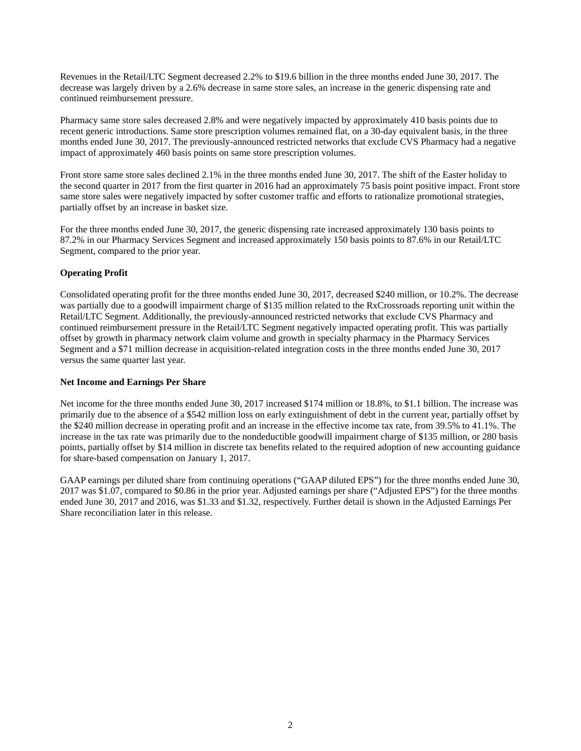Revenues in the Retail/LTC Segment decreased 2.2% to \$19.6 billion in the three months ended June 30, 2017. The decrease was largely driven by a 2.6% decrease in same store sales, an increase in the generic dispensing rate and continued reimbursement pressure.

Pharmacy same store sales decreased 2.8% and were negatively impacted by approximately 410 basis points due to recent generic introductions. Same store prescription volumes remained flat, on a 30-day equivalent basis, in the three months ended June 30, 2017. The previously-announced restricted networks that exclude CVS Pharmacy had a negative impact of approximately 460 basis points on same store prescription volumes.

 the second quarter in 2017 from the first quarter in 2016 had an approximately 75 basis point positive impact. Front store Front store same store sales declined 2.1% in the three months ended June 30, 2017. The shift of the Easter holiday to same store sales were negatively impacted by softer customer traffic and efforts to rationalize promotional strategies, partially offset by an increase in basket size.

For the three months ended June 30, 2017, the generic dispensing rate increased approximately 130 basis points to 87.2% in our Pharmacy Services Segment and increased approximately 150 basis points to 87.6% in our Retail/LTC Segment, compared to the prior year.

# **Operating Profit**

 Retail/LTC Segment. Additionally, the previously-announced restricted networks that exclude CVS Pharmacy and Segment and a \$71 million decrease in acquisition-related integration costs in the three months ended June 30, 2017 Consolidated operating profit for the three months ended June 30, 2017, decreased \$240 million, or 10.2%. The decrease was partially due to a goodwill impairment charge of \$135 million related to the RxCrossroads reporting unit within the continued reimbursement pressure in the Retail/LTC Segment negatively impacted operating profit. This was partially offset by growth in pharmacy network claim volume and growth in specialty pharmacy in the Pharmacy Services versus the same quarter last year.

### **Net Income and Earnings Per Share**

 Net income for the three months ended June 30, 2017 increased \$174 million or 18.8%, to \$1.1 billion. The increase was points, partially offset by \$14 million in discrete tax benefits related to the required adoption of new accounting guidance for share-based compensation on January 1, 2017. primarily due to the absence of a \$542 million loss on early extinguishment of debt in the current year, partially offset by the \$240 million decrease in operating profit and an increase in the effective income tax rate, from 39.5% to 41.1%. The increase in the tax rate was primarily due to the nondeductible goodwill impairment charge of \$135 million, or 280 basis

GAAP earnings per diluted share from continuing operations ("GAAP diluted EPS") for the three months ended June 30, 2017 was \$1.07, compared to \$0.86 in the prior year. Adjusted earnings per share ("Adjusted EPS") for the three months ended June 30, 2017 and 2016, was \$1.33 and \$1.32, respectively. Further detail is shown in the Adjusted Earnings Per Share reconciliation later in this release.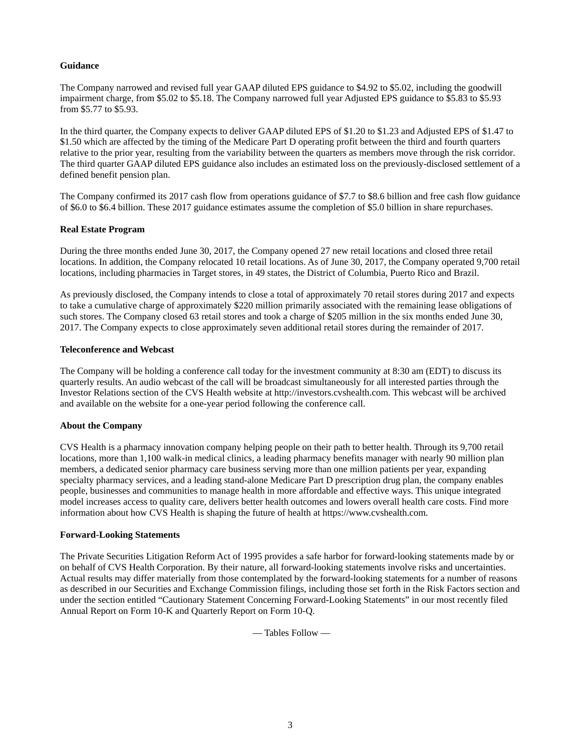# **Guidance**

 The Company narrowed and revised full year GAAP diluted EPS guidance to \$4.92 to \$5.02, including the goodwill impairment charge, from \$5.02 to \$5.18. The Company narrowed full year Adjusted EPS guidance to \$5.83 to \$5.93 from \$5.77 to \$5.93.

 In the third quarter, the Company expects to deliver GAAP diluted EPS of \$1.20 to \$1.23 and Adjusted EPS of \$1.47 to \$1.50 which are affected by the timing of the Medicare Part D operating profit between the third and fourth quarters relative to the prior year, resulting from the variability between the quarters as members move through the risk corridor. The third quarter GAAP diluted EPS guidance also includes an estimated loss on the previously-disclosed settlement of a defined benefit pension plan.

 The Company confirmed its 2017 cash flow from operations guidance of \$7.7 to \$8.6 billion and free cash flow guidance of \$6.0 to \$6.4 billion. These 2017 guidance estimates assume the completion of \$5.0 billion in share repurchases.

### **Real Estate Program**

 locations. In addition, the Company relocated 10 retail locations. As of June 30, 2017, the Company operated 9,700 retail During the three months ended June 30, 2017, the Company opened 27 new retail locations and closed three retail locations, including pharmacies in Target stores, in 49 states, the District of Columbia, Puerto Rico and Brazil.

As previously disclosed, the Company intends to close a total of approximately 70 retail stores during 2017 and expects to take a cumulative charge of approximately \$220 million primarily associated with the remaining lease obligations of such stores. The Company closed 63 retail stores and took a charge of \$205 million in the six months ended June 30, 2017. The Company expects to close approximately seven additional retail stores during the remainder of 2017.

### **Teleconference and Webcast**

The Company will be holding a conference call today for the investment community at 8:30 am (EDT) to discuss its quarterly results. An audio webcast of the call will be broadcast simultaneously for all interested parties through the Investor Relations section of the CVS Health website at<http://investors.cvshealth.com>. This webcast will be archived and available on the website for a one-year period following the conference call.

### **About the Company**

 locations, more than 1,100 walk-in medical clinics, a leading pharmacy benefits manager with nearly 90 million plan CVS Health is a pharmacy innovation company helping people on their path to better health. Through its 9,700 retail members, a dedicated senior pharmacy care business serving more than one million patients per year, expanding specialty pharmacy services, and a leading stand-alone Medicare Part D prescription drug plan, the company enables people, businesses and communities to manage health in more affordable and effective ways. This unique integrated model increases access to quality care, delivers better health outcomes and lowers overall health care costs. Find more information about how CVS Health is shaping the future of health at [https://www.cvshealth.com.](https://www.cvshealth.com)

### **Forward-Looking Statements**

The Private Securities Litigation Reform Act of 1995 provides a safe harbor for forward-looking statements made by or on behalf of CVS Health Corporation. By their nature, all forward-looking statements involve risks and uncertainties. Actual results may differ materially from those contemplated by the forward-looking statements for a number of reasons as described in our Securities and Exchange Commission filings, including those set forth in the Risk Factors section and under the section entitled "Cautionary Statement Concerning Forward-Looking Statements" in our most recently filed Annual Report on Form 10-K and Quarterly Report on Form 10-Q.

 $-$  Tables Follow  $-$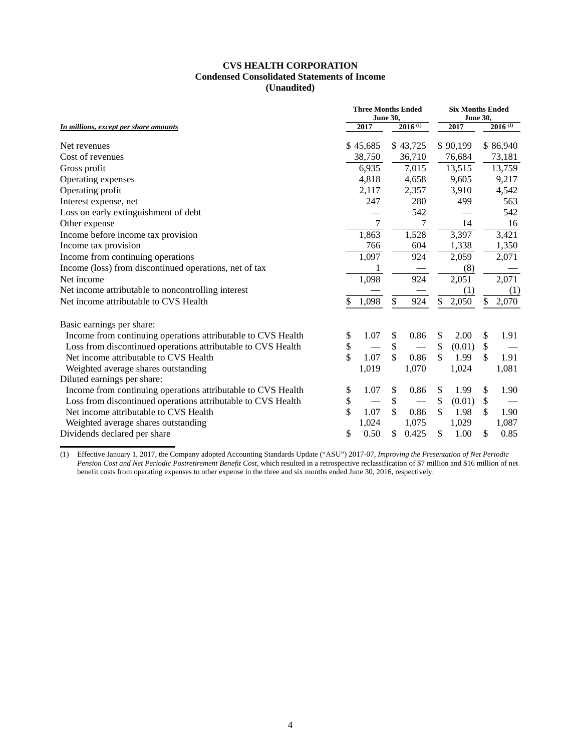# **Condensed Consolidated Statements of Income CVS HEALTH CORPORATION (Unaudited)**

|                                                              |                 | <b>Three Months Ended</b> | <b>Six Months Ended</b> |              |                 |          |    |              |  |
|--------------------------------------------------------------|-----------------|---------------------------|-------------------------|--------------|-----------------|----------|----|--------------|--|
|                                                              | <b>June 30,</b> |                           |                         |              | <b>June 30,</b> |          |    |              |  |
| In millions, except per share amounts                        |                 | 2017                      |                         | $2016^{(1)}$ |                 | 2017     |    | $2016^{(1)}$ |  |
| Net revenues                                                 |                 | \$45,685                  |                         | \$43,725     |                 | \$90,199 |    | \$86,940     |  |
| Cost of revenues                                             |                 | 38,750                    |                         | 36,710       |                 | 76,684   |    | 73,181       |  |
| Gross profit                                                 |                 | 6,935                     |                         | 7,015        |                 | 13,515   |    | 13,759       |  |
| Operating expenses                                           |                 | 4,818                     |                         | 4,658        |                 | 9,605    |    | 9,217        |  |
| Operating profit                                             |                 | 2,117                     |                         | 2,357        |                 | 3,910    |    | 4,542        |  |
| Interest expense, net                                        |                 | 247                       |                         | 280          |                 | 499      |    | 563          |  |
| Loss on early extinguishment of debt                         |                 |                           |                         | 542          |                 |          |    | 542          |  |
| Other expense                                                |                 | 7                         |                         |              |                 | 14       |    | 16           |  |
| Income before income tax provision                           |                 | 1,863                     |                         | 1,528        |                 | 3,397    |    | 3,421        |  |
| Income tax provision                                         |                 | 766                       |                         | 604          |                 | 1,338    |    | 1,350        |  |
| Income from continuing operations                            |                 | 1,097                     |                         | 924          |                 | 2,059    |    | 2,071        |  |
| Income (loss) from discontinued operations, net of tax       |                 |                           |                         |              |                 | (8)      |    |              |  |
| Net income                                                   |                 | 1,098                     |                         | 924          |                 | 2,051    |    | 2,071        |  |
| Net income attributable to noncontrolling interest           |                 |                           |                         |              |                 | (1)      |    | (1)          |  |
| Net income attributable to CVS Health                        | \$              | 1,098                     | \$                      | 924          | \$              | 2,050    | \$ | 2,070        |  |
| Basic earnings per share:                                    |                 |                           |                         |              |                 |          |    |              |  |
| Income from continuing operations attributable to CVS Health | \$              | 1.07                      | \$                      | 0.86         | \$              | 2.00     | \$ | 1.91         |  |
| Loss from discontinued operations attributable to CVS Health | \$              |                           | $\$$                    |              | \$              | (0.01)   | \$ |              |  |
| Net income attributable to CVS Health                        | \$              | 1.07                      | $\mathbf{\hat{S}}$      | 0.86         | \$              | 1.99     | \$ | 1.91         |  |
| Weighted average shares outstanding                          |                 | 1,019                     |                         | 1,070        |                 | 1,024    |    | 1,081        |  |
| Diluted earnings per share:                                  |                 |                           |                         |              |                 |          |    |              |  |
| Income from continuing operations attributable to CVS Health | \$              | 1.07                      | \$                      | 0.86         | \$              | 1.99     | \$ | 1.90         |  |
| Loss from discontinued operations attributable to CVS Health | \$              |                           | $\$\,$                  |              | \$              | (0.01)   | \$ |              |  |
| Net income attributable to CVS Health                        | \$              | 1.07                      | \$                      | 0.86         | \$              | 1.98     | \$ | 1.90         |  |
| Weighted average shares outstanding                          |                 | 1,024                     |                         | 1,075        |                 | 1,029    |    | 1,087        |  |
| Dividends declared per share                                 | \$              | 0.50                      | \$                      | 0.425        | \$              | 1.00     | \$ | 0.85         |  |

(1) Effective January 1, 2017, the Company adopted Accounting Standards Update ("ASU") 2017-07, *Improving the Presentation of Net Periodic Pension Cost and Net Periodic Postretirement Benefit Cost*, which resulted in a retrospective reclassification of \$7 million and \$16 million of net benefit costs from operating expenses to other expense in the three and six months ended June 30, 2016, respectively.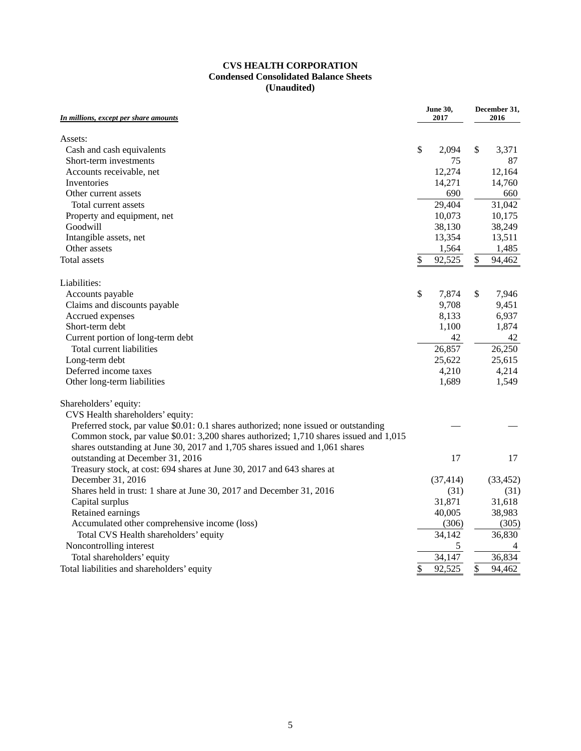# **CVS HEALTH CORPORATION Condensed Consolidated Balance Sheets (Unaudited)**

| In millions, except per share amounts                                                  |    | <b>June 30,</b><br>2017 | December 31,<br>2016 |           |  |
|----------------------------------------------------------------------------------------|----|-------------------------|----------------------|-----------|--|
|                                                                                        |    |                         |                      |           |  |
| Assets:                                                                                | \$ | 2,094                   | \$                   | 3,371     |  |
| Cash and cash equivalents<br>Short-term investments                                    |    | 75                      |                      | 87        |  |
|                                                                                        |    |                         |                      |           |  |
| Accounts receivable, net                                                               |    | 12,274                  |                      | 12,164    |  |
| Inventories                                                                            |    | 14,271                  |                      | 14,760    |  |
| Other current assets                                                                   |    | 690                     |                      | 660       |  |
| Total current assets                                                                   |    | 29,404                  |                      | 31,042    |  |
| Property and equipment, net                                                            |    | 10,073                  |                      | 10,175    |  |
| Goodwill                                                                               |    | 38,130                  |                      | 38,249    |  |
| Intangible assets, net                                                                 |    | 13,354                  |                      | 13,511    |  |
| Other assets                                                                           |    | 1,564                   |                      | 1,485     |  |
| <b>Total assets</b>                                                                    | \$ | 92,525                  | \$                   | 94,462    |  |
| Liabilities:                                                                           |    |                         |                      |           |  |
| Accounts payable                                                                       | \$ | 7,874                   | \$                   | 7,946     |  |
| Claims and discounts payable                                                           |    | 9,708                   |                      | 9,451     |  |
| Accrued expenses                                                                       |    | 8,133                   |                      | 6,937     |  |
| Short-term debt                                                                        |    | 1,100                   |                      | 1,874     |  |
| Current portion of long-term debt                                                      |    | 42                      |                      | 42        |  |
| Total current liabilities                                                              |    | 26,857                  |                      | 26,250    |  |
| Long-term debt                                                                         |    | 25,622                  |                      | 25,615    |  |
| Deferred income taxes                                                                  |    | 4,210                   |                      | 4,214     |  |
| Other long-term liabilities                                                            |    | 1,689                   |                      | 1,549     |  |
| Shareholders' equity:                                                                  |    |                         |                      |           |  |
| CVS Health shareholders' equity:                                                       |    |                         |                      |           |  |
| Preferred stock, par value \$0.01: 0.1 shares authorized; none issued or outstanding   |    |                         |                      |           |  |
| Common stock, par value \$0.01: 3,200 shares authorized; 1,710 shares issued and 1,015 |    |                         |                      |           |  |
| shares outstanding at June 30, 2017 and 1,705 shares issued and 1,061 shares           |    |                         |                      |           |  |
| outstanding at December 31, 2016                                                       |    | 17                      |                      | 17        |  |
| Treasury stock, at cost: 694 shares at June 30, 2017 and 643 shares at                 |    |                         |                      |           |  |
| December 31, 2016                                                                      |    | (37, 414)               |                      | (33, 452) |  |
| Shares held in trust: 1 share at June 30, 2017 and December 31, 2016                   |    | (31)                    |                      | (31)      |  |
| Capital surplus                                                                        |    | 31,871                  |                      | 31,618    |  |
| Retained earnings                                                                      |    | 40,005                  |                      | 38,983    |  |
| Accumulated other comprehensive income (loss)                                          |    | (306)                   |                      | (305)     |  |
| Total CVS Health shareholders' equity                                                  |    | 34,142                  |                      | 36,830    |  |
| Noncontrolling interest                                                                |    | 5                       |                      |           |  |
| Total shareholders' equity                                                             |    | 34,147                  |                      | 36,834    |  |
| Total liabilities and shareholders' equity                                             | \$ | 92,525                  | \$                   | 94,462    |  |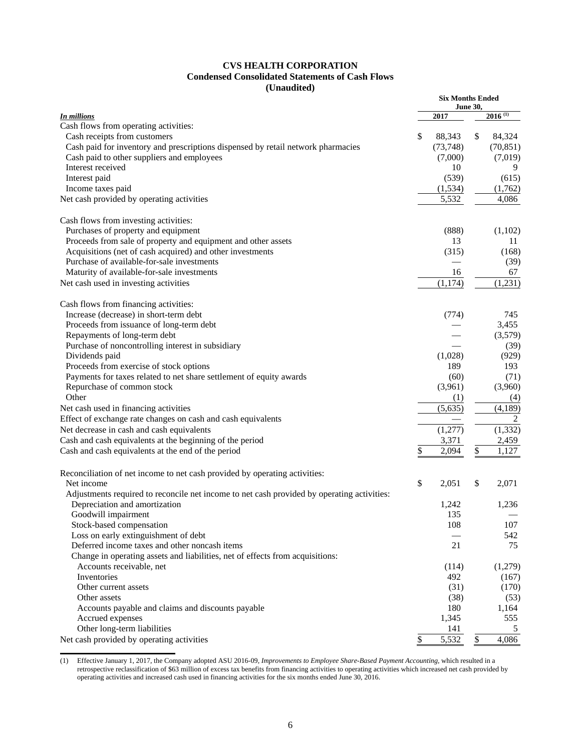# **CVS HEALTH CORPORATION Condensed Consolidated Statements of Cash Flows (Unaudited)**

|                                                                                            |    |           | <b>Six Months Ended</b><br><b>June 30,</b> |                       |  |  |  |  |  |
|--------------------------------------------------------------------------------------------|----|-----------|--------------------------------------------|-----------------------|--|--|--|--|--|
| <b>In millions</b>                                                                         |    | 2017      |                                            | $2016$ <sup>(1)</sup> |  |  |  |  |  |
| Cash flows from operating activities:                                                      |    |           |                                            |                       |  |  |  |  |  |
| Cash receipts from customers                                                               | \$ | 88,343    | \$                                         | 84,324                |  |  |  |  |  |
| Cash paid for inventory and prescriptions dispensed by retail network pharmacies           |    | (73, 748) |                                            | (70, 851)             |  |  |  |  |  |
| Cash paid to other suppliers and employees                                                 |    | (7,000)   |                                            | (7,019)               |  |  |  |  |  |
| Interest received                                                                          |    | 10        |                                            | 9                     |  |  |  |  |  |
| Interest paid                                                                              |    | (539)     |                                            | (615)                 |  |  |  |  |  |
| Income taxes paid                                                                          |    | (1,534)   |                                            | (1,762)               |  |  |  |  |  |
| Net cash provided by operating activities                                                  |    | 5,532     |                                            | 4,086                 |  |  |  |  |  |
| Cash flows from investing activities:                                                      |    |           |                                            |                       |  |  |  |  |  |
| Purchases of property and equipment                                                        |    | (888)     |                                            | (1,102)               |  |  |  |  |  |
| Proceeds from sale of property and equipment and other assets                              |    | 13        |                                            | 11                    |  |  |  |  |  |
| Acquisitions (net of cash acquired) and other investments                                  |    | (315)     |                                            | (168)                 |  |  |  |  |  |
| Purchase of available-for-sale investments                                                 |    |           |                                            | (39)                  |  |  |  |  |  |
| Maturity of available-for-sale investments                                                 |    | 16        |                                            | 67                    |  |  |  |  |  |
| Net cash used in investing activities                                                      |    | (1, 174)  |                                            | (1,231)               |  |  |  |  |  |
| Cash flows from financing activities:                                                      |    |           |                                            |                       |  |  |  |  |  |
| Increase (decrease) in short-term debt                                                     |    | (774)     |                                            | 745                   |  |  |  |  |  |
| Proceeds from issuance of long-term debt                                                   |    |           |                                            | 3,455                 |  |  |  |  |  |
| Repayments of long-term debt                                                               |    |           |                                            | (3,579)               |  |  |  |  |  |
| Purchase of noncontrolling interest in subsidiary                                          |    |           |                                            | (39)                  |  |  |  |  |  |
| Dividends paid                                                                             |    | (1,028)   |                                            | (929)                 |  |  |  |  |  |
| Proceeds from exercise of stock options                                                    |    | 189       |                                            | 193                   |  |  |  |  |  |
| Payments for taxes related to net share settlement of equity awards                        |    | (60)      |                                            | (71)                  |  |  |  |  |  |
| Repurchase of common stock                                                                 |    | (3,961)   |                                            | (3,960)               |  |  |  |  |  |
| Other                                                                                      |    | (1)       |                                            | (4)                   |  |  |  |  |  |
| Net cash used in financing activities                                                      |    | (5,635)   |                                            | (4,189)               |  |  |  |  |  |
| Effect of exchange rate changes on cash and cash equivalents                               |    |           |                                            | 2                     |  |  |  |  |  |
| Net decrease in cash and cash equivalents                                                  |    | (1,277)   |                                            | (1, 332)              |  |  |  |  |  |
| Cash and cash equivalents at the beginning of the period                                   |    | 3,371     |                                            | 2,459                 |  |  |  |  |  |
| Cash and cash equivalents at the end of the period                                         | \$ | 2,094     | \$                                         | 1,127                 |  |  |  |  |  |
| Reconciliation of net income to net cash provided by operating activities:                 |    |           |                                            |                       |  |  |  |  |  |
| Net income                                                                                 | \$ | 2,051     | \$                                         | 2,071                 |  |  |  |  |  |
| Adjustments required to reconcile net income to net cash provided by operating activities: |    |           |                                            |                       |  |  |  |  |  |
| Depreciation and amortization                                                              |    | 1,242     |                                            | 1,236                 |  |  |  |  |  |
| Goodwill impairment                                                                        |    | 135       |                                            |                       |  |  |  |  |  |
| Stock-based compensation                                                                   |    | 108       |                                            | 107                   |  |  |  |  |  |
| Loss on early extinguishment of debt                                                       |    |           |                                            | 542                   |  |  |  |  |  |
| Deferred income taxes and other noncash items                                              |    | 21        |                                            | 75                    |  |  |  |  |  |
| Change in operating assets and liabilities, net of effects from acquisitions:              |    |           |                                            |                       |  |  |  |  |  |
| Accounts receivable, net                                                                   |    | (114)     |                                            | (1,279)               |  |  |  |  |  |
| Inventories                                                                                |    | 492       |                                            | (167)                 |  |  |  |  |  |
| Other current assets                                                                       |    | (31)      |                                            | (170)                 |  |  |  |  |  |
| Other assets                                                                               |    | (38)      |                                            | (53)                  |  |  |  |  |  |
| Accounts payable and claims and discounts payable                                          |    | 180       |                                            | 1,164                 |  |  |  |  |  |
| Accrued expenses                                                                           |    | 1,345     |                                            | 555                   |  |  |  |  |  |
| Other long-term liabilities                                                                |    | 141       |                                            | 5                     |  |  |  |  |  |
| Net cash provided by operating activities                                                  | \$ | 5,532     | $\mathcal{S}$                              | 4,086                 |  |  |  |  |  |

(1) Effective January 1, 2017, the Company adopted ASU 2016-09, *Improvements to Employee Share-Based Payment Accounting,* which resulted in a retrospective reclassification of \$63 million of excess tax benefits from financing activities to operating activities which increased net cash provided by operating activities and increased cash used in financing activities for the six months ended June 30, 2016.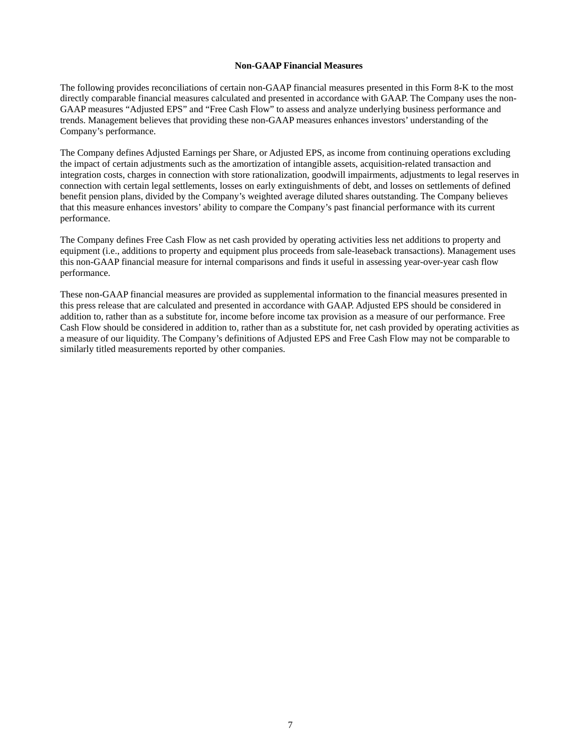### **Non-GAAP Financial Measures**

The following provides reconciliations of certain non-GAAP financial measures presented in this Form 8-K to the most directly comparable financial measures calculated and presented in accordance with GAAP. The Company uses the non-GAAP measures "Adjusted EPS" and "Free Cash Flow" to assess and analyze underlying business performance and trends. Management believes that providing these non-GAAP measures enhances investors' understanding of the Company's performance.

 The Company defines Adjusted Earnings per Share, or Adjusted EPS, as income from continuing operations excluding benefit pension plans, divided by the Company's weighted average diluted shares outstanding. The Company believes the impact of certain adjustments such as the amortization of intangible assets, acquisition-related transaction and integration costs, charges in connection with store rationalization, goodwill impairments, adjustments to legal reserves in connection with certain legal settlements, losses on early extinguishments of debt, and losses on settlements of defined that this measure enhances investors' ability to compare the Company's past financial performance with its current performance.

 The Company defines Free Cash Flow as net cash provided by operating activities less net additions to property and equipment (i.e., additions to property and equipment plus proceeds from sale-leaseback transactions). Management uses this non-GAAP financial measure for internal comparisons and finds it useful in assessing year-over-year cash flow performance.

 Cash Flow should be considered in addition to, rather than as a substitute for, net cash provided by operating activities as These non-GAAP financial measures are provided as supplemental information to the financial measures presented in this press release that are calculated and presented in accordance with GAAP. Adjusted EPS should be considered in addition to, rather than as a substitute for, income before income tax provision as a measure of our performance. Free a measure of our liquidity. The Company's definitions of Adjusted EPS and Free Cash Flow may not be comparable to similarly titled measurements reported by other companies.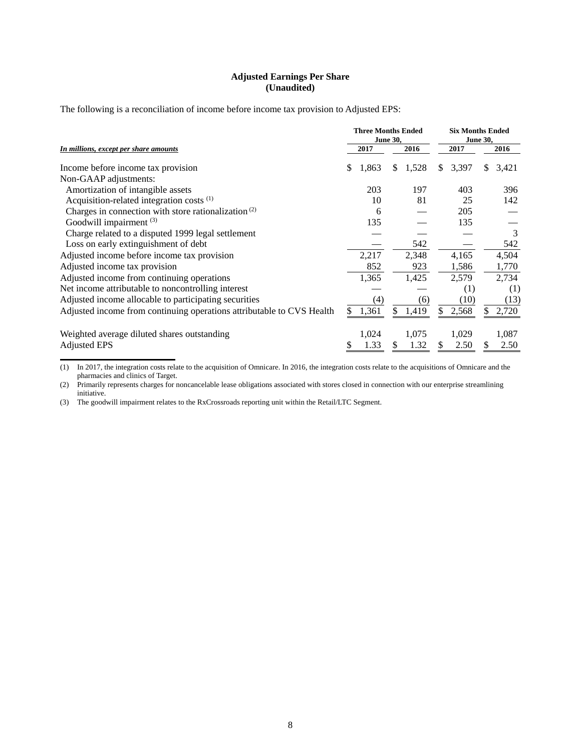# **Adjusted Earnings Per Share (Unaudited)**

The following is a reconciliation of income before income tax provision to Adjusted EPS:

|                                                                       |   |       | <b>Three Months Ended</b><br><b>June 30,</b> |       |      |       |    | <b>Six Months Ended</b><br><b>June 30,</b> |
|-----------------------------------------------------------------------|---|-------|----------------------------------------------|-------|------|-------|----|--------------------------------------------|
| In millions, except per share amounts                                 |   | 2017  |                                              |       | 2017 |       |    | 2016                                       |
| Income before income tax provision                                    | S | 1,863 | S.                                           | 1,528 | \$   | 3,397 | S. | 3,421                                      |
| Non-GAAP adjustments:                                                 |   |       |                                              |       |      |       |    |                                            |
| Amortization of intangible assets                                     |   | 203   |                                              | 197   |      | 403   |    | 396                                        |
| Acquisition-related integration costs <sup>(1)</sup>                  |   | 10    |                                              | 81    |      | 25    |    | 142                                        |
| Charges in connection with store rationalization <sup>(2)</sup>       |   | 6     |                                              |       |      | 205   |    |                                            |
| Goodwill impairment (3)                                               |   | 135   |                                              |       |      | 135   |    |                                            |
| Charge related to a disputed 1999 legal settlement                    |   |       |                                              |       |      |       |    | 3                                          |
| Loss on early extinguishment of debt                                  |   |       |                                              | 542   |      |       |    | 542                                        |
| Adjusted income before income tax provision                           |   | 2,217 |                                              | 2,348 |      | 4,165 |    | 4,504                                      |
| Adjusted income tax provision                                         |   | 852   |                                              | 923   |      | 1,586 |    | 1,770                                      |
| Adjusted income from continuing operations                            |   | 1,365 |                                              | 1,425 |      | 2,579 |    | 2,734                                      |
| Net income attributable to noncontrolling interest                    |   |       |                                              |       |      | (1)   |    | (1)                                        |
| Adjusted income allocable to participating securities                 |   | (4)   |                                              | (6)   |      | (10)  |    | (13)                                       |
| Adjusted income from continuing operations attributable to CVS Health |   | 1,361 | \$                                           | 1,419 |      | 2,568 |    | 2,720                                      |
| Weighted average diluted shares outstanding                           |   | 1,024 |                                              | 1,075 |      | 1,029 |    | 1,087                                      |
| <b>Adjusted EPS</b>                                                   |   | 1.33  | S                                            | 1.32  |      | 2.50  | S  | 2.50                                       |

(1) In 2017, the integration costs relate to the acquisition of Omnicare. In 2016, the integration costs relate to the acquisitions of Omnicare and the pharmacies and clinics of Target.

(2) Primarily represents charges for noncancelable lease obligations associated with stores closed in connection with our enterprise streamlining initiative.

(3) The goodwill impairment relates to the RxCrossroads reporting unit within the Retail/LTC Segment.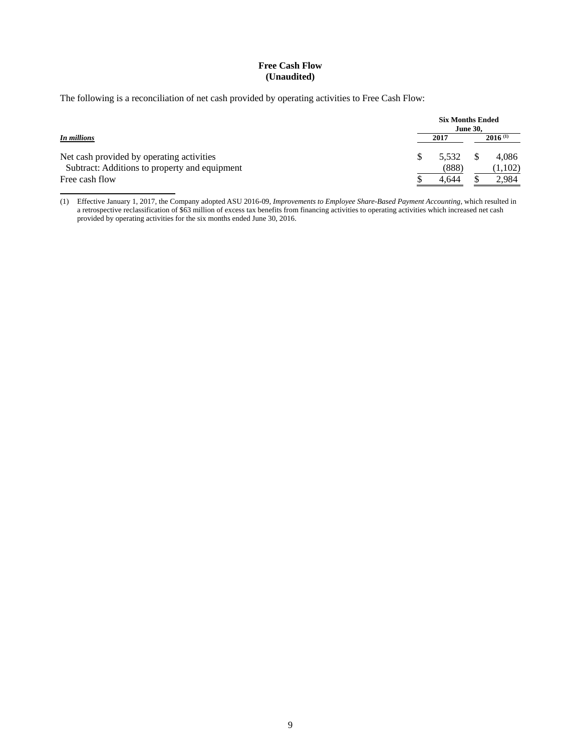# **Free Cash Flow (Unaudited)**

The following is a reconciliation of net cash provided by operating activities to Free Cash Flow:

|                                               | <b>Six Months Ended</b><br><b>June 30.</b> |       |  |              |  |  |  |
|-----------------------------------------------|--------------------------------------------|-------|--|--------------|--|--|--|
| In millions                                   |                                            | 2017  |  | $2016^{(1)}$ |  |  |  |
| Net cash provided by operating activities     |                                            | 5.532 |  | 4.086        |  |  |  |
| Subtract: Additions to property and equipment |                                            | (888) |  | (1,102)      |  |  |  |
| Free cash flow                                |                                            | 4.644 |  | 2.984        |  |  |  |

(1) Effective January 1, 2017, the Company adopted ASU 2016-09, *Improvements to Employee Share-Based Payment Accounting,* which resulted in a retrospective reclassification of \$63 million of excess tax benefits from financing activities to operating activities which increased net cash provided by operating activities for the six months ended June 30, 2016.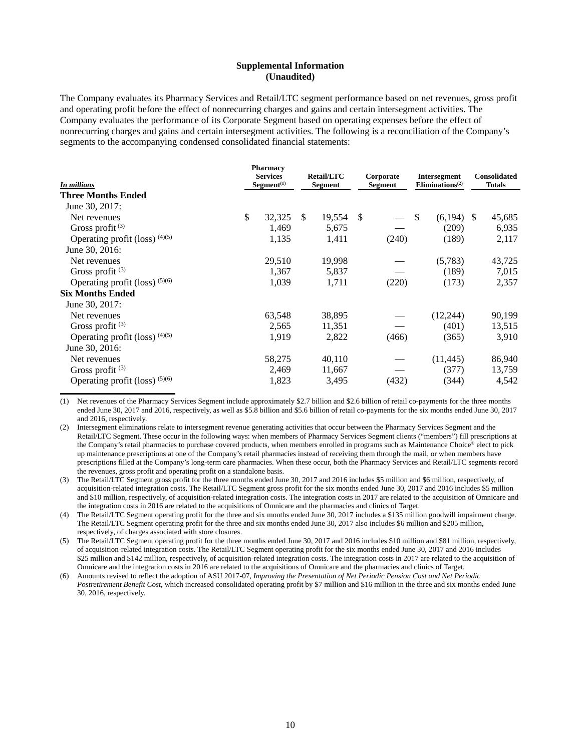### **Supplemental Information (Unaudited)**

The Company evaluates its Pharmacy Services and Retail/LTC segment performance based on net revenues, gross profit and operating profit before the effect of nonrecurring charges and gains and certain intersegment activities. The Company evaluates the performance of its Corporate Segment based on operating expenses before the effect of nonrecurring charges and gains and certain intersegment activities. The following is a reconciliation of the Company's segments to the accompanying condensed consolidated financial statements:

| <b>In millions</b>               |    | <b>Pharmacy</b><br><b>Services</b><br>Segment <sup>(1)</sup> |    |        |    | <b>Retail/LTC</b><br><b>Segment</b><br>Segment |    |              |  | Corporate |  | Intersegment<br>Eliminations <sup>(2)</sup> |  | <b>Consolidated</b><br><b>Totals</b> |
|----------------------------------|----|--------------------------------------------------------------|----|--------|----|------------------------------------------------|----|--------------|--|-----------|--|---------------------------------------------|--|--------------------------------------|
| <b>Three Months Ended</b>        |    |                                                              |    |        |    |                                                |    |              |  |           |  |                                             |  |                                      |
| June 30, 2017:                   |    |                                                              |    |        |    |                                                |    |              |  |           |  |                                             |  |                                      |
| Net revenues                     | \$ | 32,325                                                       | \$ | 19,554 | -S |                                                | -S | $(6,194)$ \$ |  | 45,685    |  |                                             |  |                                      |
| Gross profit $(3)$               |    | 1,469                                                        |    | 5,675  |    |                                                |    | (209)        |  | 6,935     |  |                                             |  |                                      |
| Operating profit (loss) $(4)(5)$ |    | 1,135                                                        |    | 1,411  |    | (240)                                          |    | (189)        |  | 2,117     |  |                                             |  |                                      |
| June 30, 2016:                   |    |                                                              |    |        |    |                                                |    |              |  |           |  |                                             |  |                                      |
| Net revenues                     |    | 29,510                                                       |    | 19,998 |    |                                                |    | (5,783)      |  | 43,725    |  |                                             |  |                                      |
| Gross profit $(3)$               |    | 1,367                                                        |    | 5,837  |    |                                                |    | (189)        |  | 7,015     |  |                                             |  |                                      |
| Operating profit (loss) $(5)(6)$ |    | 1,039                                                        |    | 1,711  |    | (220)                                          |    | (173)        |  | 2,357     |  |                                             |  |                                      |
| <b>Six Months Ended</b>          |    |                                                              |    |        |    |                                                |    |              |  |           |  |                                             |  |                                      |
| June 30, 2017:                   |    |                                                              |    |        |    |                                                |    |              |  |           |  |                                             |  |                                      |
| Net revenues                     |    | 63,548                                                       |    | 38,895 |    |                                                |    | (12, 244)    |  | 90,199    |  |                                             |  |                                      |
| Gross profit $(3)$               |    | 2,565                                                        |    | 11,351 |    |                                                |    | (401)        |  | 13,515    |  |                                             |  |                                      |
| Operating profit (loss) $(4)(5)$ |    | 1,919                                                        |    | 2,822  |    | (466)                                          |    | (365)        |  | 3,910     |  |                                             |  |                                      |
| June 30, 2016:                   |    |                                                              |    |        |    |                                                |    |              |  |           |  |                                             |  |                                      |
| Net revenues                     |    | 58,275                                                       |    | 40,110 |    |                                                |    | (11, 445)    |  | 86,940    |  |                                             |  |                                      |
| Gross profit $(3)$               |    | 2,469                                                        |    | 11,667 |    |                                                |    | (377)        |  | 13,759    |  |                                             |  |                                      |
| Operating profit (loss) $(5)(6)$ |    | 1,823                                                        |    | 3,495  |    | (432)                                          |    | (344)        |  | 4,542     |  |                                             |  |                                      |

(1) Net revenues of the Pharmacy Services Segment include approximately \$2.7 billion and \$2.6 billion of retail co-payments for the three months ended June 30, 2017 and 2016, respectively, as well as \$5.8 billion and \$5.6 billion of retail co-payments for the six months ended June 30, 2017 and 2016, respectively.

(2) Intersegment eliminations relate to intersegment revenue generating activities that occur between the Pharmacy Services Segment and the Retail/LTC Segment. These occur in the following ways: when members of Pharmacy Services Segment clients ("members") fill prescriptions at the Company's retail pharmacies to purchase covered products, when members enrolled in programs such as Maintenance Choice® elect to pick up maintenance prescriptions at one of the Company's retail pharmacies instead of receiving them through the mail, or when members have prescriptions filled at the Company's long-term care pharmacies. When these occur, both the Pharmacy Services and Retail/LTC segments record the revenues, gross profit and operating profit on a standalone basis.

(3) The Retail/LTC Segment gross profit for the three months ended June 30, 2017 and 2016 includes \$5 million and \$6 million, respectively, of acquisition-related integration costs. The Retail/LTC Segment gross profit for the six months ended June 30, 2017 and 2016 includes \$5 million and \$10 million, respectively, of acquisition-related integration costs. The integration costs in 2017 are related to the acquisition of Omnicare and the integration costs in 2016 are related to the acquisitions of Omnicare and the pharmacies and clinics of Target.

(4) The Retail/LTC Segment operating profit for the three and six months ended June 30, 2017 includes a \$135 million goodwill impairment charge. The Retail/LTC Segment operating profit for the three and six months ended June 30, 2017 also includes \$6 million and \$205 million, respectively, of charges associated with store closures.

(5) The Retail/LTC Segment operating profit for the three months ended June 30, 2017 and 2016 includes \$10 million and \$81 million, respectively, of acquisition-related integration costs. The Retail/LTC Segment operating profit for the six months ended June 30, 2017 and 2016 includes \$25 million and \$142 million, respectively, of acquisition-related integration costs. The integration costs in 2017 are related to the acquisition of Omnicare and the integration costs in 2016 are related to the acquisitions of Omnicare and the pharmacies and clinics of Target.

(6) Amounts revised to reflect the adoption of ASU 2017-07, *Improving the Presentation of Net Periodic Pension Cost and Net Periodic Postretirement Benefit Cost*, which increased consolidated operating profit by \$7 million and \$16 million in the three and six months ended June 30, 2016, respectively.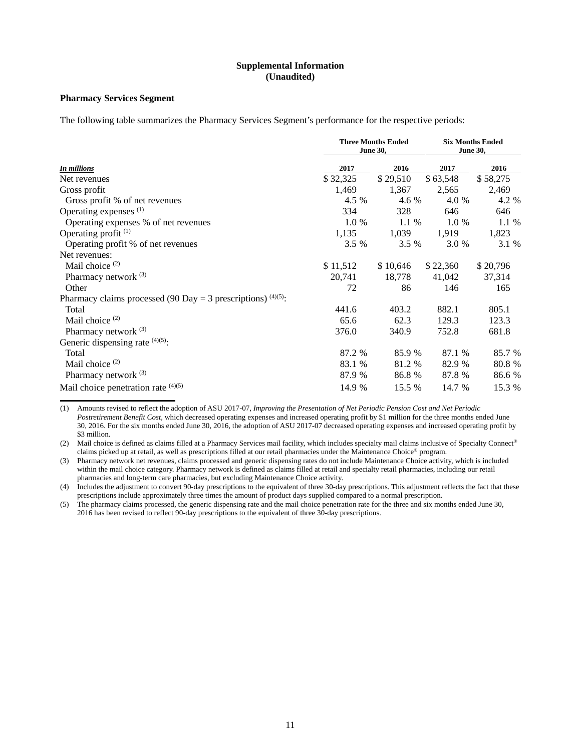# **Supplemental Information (Unaudited)**

# **Pharmacy Services Segment**

The following table summarizes the Pharmacy Services Segment's performance for the respective periods:

|                                                                 |          | <b>Three Months Ended</b><br><b>June 30,</b> |          | <b>Six Months Ended</b><br><b>June 30,</b> |
|-----------------------------------------------------------------|----------|----------------------------------------------|----------|--------------------------------------------|
| <b>In millions</b>                                              | 2017     | 2016                                         | 2017     | 2016                                       |
| Net revenues                                                    | \$32,325 | \$29,510                                     | \$63,548 | \$58,275                                   |
| Gross profit                                                    | 1,469    | 1,367                                        | 2,565    | 2,469                                      |
| Gross profit % of net revenues                                  | 4.5 %    | 4.6 %                                        | 4.0 %    | 4.2 %                                      |
| Operating expenses <sup>(1)</sup>                               | 334      | 328                                          | 646      | 646                                        |
| Operating expenses % of net revenues                            | 1.0 %    | 1.1 %                                        | 1.0 %    | 1.1 %                                      |
| Operating profit $(1)$                                          | 1,135    | 1,039                                        | 1,919    | 1,823                                      |
| Operating profit % of net revenues                              | 3.5 %    | 3.5 %                                        | 3.0 %    | 3.1 %                                      |
| Net revenues:                                                   |          |                                              |          |                                            |
| Mail choice $(2)$                                               | \$11,512 | \$10,646                                     | \$22,360 | \$20,796                                   |
| Pharmacy network $(3)$                                          | 20,741   | 18,778                                       | 41,042   | 37,314                                     |
| Other                                                           | 72       | 86                                           | 146      | 165                                        |
| Pharmacy claims processed (90 Day = 3 prescriptions) $(4)(5)$ : |          |                                              |          |                                            |
| Total                                                           | 441.6    | 403.2                                        | 882.1    | 805.1                                      |
| Mail choice $(2)$                                               | 65.6     | 62.3                                         | 129.3    | 123.3                                      |
| Pharmacy network (3)                                            | 376.0    | 340.9                                        | 752.8    | 681.8                                      |
| Generic dispensing rate $(4)(5)$ :                              |          |                                              |          |                                            |
| Total                                                           | 87.2 %   | 85.9 %                                       | 87.1 %   | 85.7 %                                     |
| Mail choice <sup>(2)</sup>                                      | 83.1 %   | 81.2 %                                       | 82.9 %   | 80.8%                                      |
| Pharmacy network <sup>(3)</sup>                                 | 87.9 %   | 86.8 %                                       | 87.8 %   | 86.6 %                                     |
| Mail choice penetration rate $(4)(5)$                           | 14.9 %   | 15.5 %                                       | 14.7 %   | 15.3 %                                     |

(1) Amounts revised to reflect the adoption of ASU 2017-07, *Improving the Presentation of Net Periodic Pension Cost and Net Periodic Postretirement Benefit Cost*, which decreased operating expenses and increased operating profit by \$1 million for the three months ended June 30, 2016. For the six months ended June 30, 2016, the adoption of ASU 2017-07 decreased operating expenses and increased operating profit by \$3 million.

(2) Mail choice is defined as claims filled at a Pharmacy Services mail facility, which includes specialty mail claims inclusive of Specialty Connect® claims picked up at retail, as well as prescriptions filled at our retail pharmacies under the Maintenance Choice® program.

(3) Pharmacy network net revenues, claims processed and generic dispensing rates do not include Maintenance Choice activity, which is included within the mail choice category. Pharmacy network is defined as claims filled at retail and specialty retail pharmacies, including our retail pharmacies and long-term care pharmacies, but excluding Maintenance Choice activity.

(4) Includes the adjustment to convert 90-day prescriptions to the equivalent of three 30-day prescriptions. This adjustment reflects the fact that these prescriptions include approximately three times the amount of product days supplied compared to a normal prescription.

(5) The pharmacy claims processed, the generic dispensing rate and the mail choice penetration rate for the three and six months ended June 30, 2016 has been revised to reflect 90-day prescriptions to the equivalent of three 30-day prescriptions.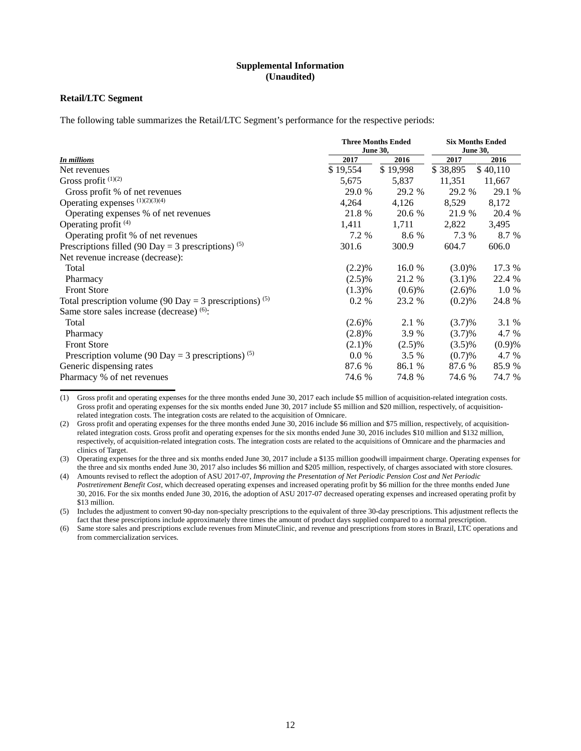### **Supplemental Information (Unaudited)**

# **Retail/LTC Segment**

The following table summarizes the Retail/LTC Segment's performance for the respective periods:

|                                                                     | <b>Three Months Ended</b><br><b>June 30,</b> | <b>Six Months Ended</b><br><b>June 30,</b> |           |          |
|---------------------------------------------------------------------|----------------------------------------------|--------------------------------------------|-----------|----------|
| <b>In millions</b>                                                  | 2017                                         | 2016                                       | 2017      | 2016     |
| Net revenues                                                        | \$19,554                                     | \$19,998                                   | \$38,895  | \$40,110 |
| Gross profit $(1)(2)$                                               | 5,675                                        | 5,837                                      | 11,351    | 11,667   |
| Gross profit % of net revenues                                      | 29.0 %                                       | 29.2 %                                     | 29.2 %    | 29.1 %   |
| Operating expenses (1)(2)(3)(4)                                     | 4,264                                        | 4,126                                      | 8,529     | 8,172    |
| Operating expenses % of net revenues                                | 21.8 %                                       | 20.6 %                                     | 21.9 %    | 20.4 %   |
| Operating profit $(4)$                                              | 1,411                                        | 1,711                                      | 2,822     | 3,495    |
| Operating profit % of net revenues                                  | 7.2 %                                        | 8.6 %                                      | 7.3 %     | 8.7 %    |
| Prescriptions filled (90 Day = 3 prescriptions) <sup>(5)</sup>      | 301.6                                        | 300.9                                      | 604.7     | 606.0    |
| Net revenue increase (decrease):                                    |                                              |                                            |           |          |
| Total                                                               | (2.2)%                                       | 16.0 %                                     | $(3.0)\%$ | 17.3 %   |
| Pharmacy                                                            | $(2.5)\%$                                    | 21.2 %                                     | (3.1)%    | 22.4 %   |
| <b>Front Store</b>                                                  | (1.3)%                                       | $(0.6)$ %                                  | $(2.6)\%$ | 1.0 %    |
| Total prescription volume (90 Day = 3 prescriptions) <sup>(5)</sup> | 0.2 %                                        | 23.2 %                                     | (0.2)%    | 24.8 %   |
| Same store sales increase (decrease) $(6)$ :                        |                                              |                                            |           |          |
| Total                                                               | $(2.6)\%$                                    | 2.1 %                                      | (3.7)%    | 3.1 %    |
| Pharmacy                                                            | (2.8)%                                       | 3.9 %                                      | (3.7)%    | 4.7 %    |
| <b>Front Store</b>                                                  | $(2.1)\%$                                    | $(2.5)\%$                                  | $(3.5)\%$ | (0.9)%   |
| Prescription volume (90 Day = 3 prescriptions) <sup>(5)</sup>       | $0.0\%$                                      | 3.5 %                                      | (0.7)%    | 4.7 %    |
| Generic dispensing rates                                            | 87.6 %                                       | 86.1 %                                     | 87.6 %    | 85.9 %   |
| Pharmacy % of net revenues                                          | 74.6 %                                       | 74.8 %                                     | 74.6 %    | 74.7 %   |

(1) Gross profit and operating expenses for the three months ended June 30, 2017 each include \$5 million of acquisition-related integration costs. Gross profit and operating expenses for the six months ended June 30, 2017 include \$5 million and \$20 million, respectively, of acquisitionrelated integration costs. The integration costs are related to the acquisition of Omnicare.

(2) Gross profit and operating expenses for the three months ended June 30, 2016 include \$6 million and \$75 million, respectively, of acquisitionrelated integration costs. Gross profit and operating expenses for the six months ended June 30, 2016 includes \$10 million and \$132 million, respectively, of acquisition-related integration costs. The integration costs are related to the acquisitions of Omnicare and the pharmacies and clinics of Target.

(3) Operating expenses for the three and six months ended June 30, 2017 include a \$135 million goodwill impairment charge. Operating expenses for the three and six months ended June 30, 2017 also includes \$6 million and \$205 million, respectively, of charges associated with store closures.

(4) Amounts revised to reflect the adoption of ASU 2017-07, *Improving the Presentation of Net Periodic Pension Cost and Net Periodic Postretirement Benefit Cost*, which decreased operating expenses and increased operating profit by \$6 million for the three months ended June 30, 2016. For the six months ended June 30, 2016, the adoption of ASU 2017-07 decreased operating expenses and increased operating profit by \$13 million.

(5) Includes the adjustment to convert 90-day non-specialty prescriptions to the equivalent of three 30-day prescriptions. This adjustment reflects the fact that these prescriptions include approximately three times the amount of product days supplied compared to a normal prescription.

(6) Same store sales and prescriptions exclude revenues from MinuteClinic, and revenue and prescriptions from stores in Brazil, LTC operations and from commercialization services.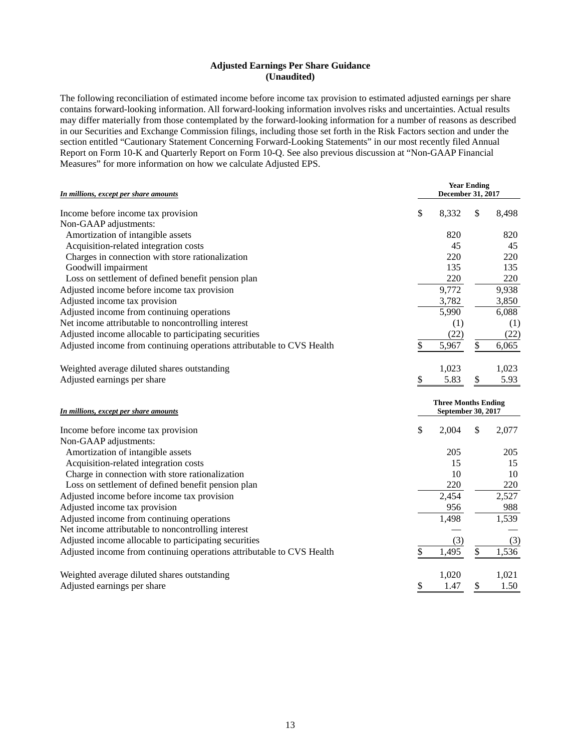# **Adjusted Earnings Per Share Guidance (Unaudited)**

The following reconciliation of estimated income before income tax provision to estimated adjusted earnings per share contains forward-looking information. All forward-looking information involves risks and uncertainties. Actual results may differ materially from those contemplated by the forward-looking information for a number of reasons as described in our Securities and Exchange Commission filings, including those set forth in the Risk Factors section and under the section entitled "Cautionary Statement Concerning Forward-Looking Statements" in our most recently filed Annual Report on Form 10-K and Quarterly Report on Form 10-Q. See also previous discussion at "Non-GAAP Financial Measures" for more information on how we calculate Adjusted EPS.

| In millions, except per share amounts                                 | <b>Year Ending</b><br>December 31, 2017          |    |       |  |  |  |  |
|-----------------------------------------------------------------------|--------------------------------------------------|----|-------|--|--|--|--|
| Income before income tax provision                                    | \$<br>8,332                                      | \$ | 8,498 |  |  |  |  |
| Non-GAAP adjustments:                                                 |                                                  |    |       |  |  |  |  |
| Amortization of intangible assets                                     | 820                                              |    | 820   |  |  |  |  |
| Acquisition-related integration costs                                 | 45                                               |    | 45    |  |  |  |  |
| Charges in connection with store rationalization                      | 220                                              |    | 220   |  |  |  |  |
| Goodwill impairment                                                   | 135                                              |    | 135   |  |  |  |  |
| Loss on settlement of defined benefit pension plan                    | 220                                              |    | 220   |  |  |  |  |
| Adjusted income before income tax provision                           | 9,772                                            |    | 9,938 |  |  |  |  |
| Adjusted income tax provision                                         | 3,782                                            |    | 3,850 |  |  |  |  |
| Adjusted income from continuing operations                            | 5,990                                            |    | 6,088 |  |  |  |  |
| Net income attributable to noncontrolling interest                    | (1)                                              |    | (1)   |  |  |  |  |
| Adjusted income allocable to participating securities                 | (22)                                             |    | (22)  |  |  |  |  |
| Adjusted income from continuing operations attributable to CVS Health | \$<br>5,967                                      | \$ | 6,065 |  |  |  |  |
| Weighted average diluted shares outstanding                           | 1,023                                            |    | 1,023 |  |  |  |  |
| Adjusted earnings per share                                           | \$<br>5.83                                       | \$ | 5.93  |  |  |  |  |
| In millions, except per share amounts                                 | <b>Three Months Ending</b><br>September 30, 2017 |    |       |  |  |  |  |
| Income before income tax provision                                    | \$<br>2,004                                      | \$ | 2,077 |  |  |  |  |
| Non-GAAP adjustments:                                                 |                                                  |    |       |  |  |  |  |
| Amortization of intangible assets                                     | 205                                              |    | 205   |  |  |  |  |
| Acquisition-related integration costs                                 | 15                                               |    | 15    |  |  |  |  |
| Charge in connection with store rationalization                       | 10                                               |    | 10    |  |  |  |  |
| Loss on settlement of defined benefit pension plan                    | 220                                              |    | 220   |  |  |  |  |
| Adjusted income before income tax provision                           | 2,454                                            |    | 2,527 |  |  |  |  |
| Adjusted income tax provision                                         | 956                                              |    | 988   |  |  |  |  |
| Adjusted income from continuing operations                            | 1,498                                            |    | 1,539 |  |  |  |  |
| Net income attributable to noncontrolling interest                    |                                                  |    |       |  |  |  |  |
| Adjusted income allocable to participating securities                 | (3)                                              |    | (3)   |  |  |  |  |
| Adjusted income from continuing operations attributable to CVS Health | \$<br>1,495                                      | \$ | 1,536 |  |  |  |  |
| Weighted average diluted shares outstanding                           | 1,020                                            |    | 1,021 |  |  |  |  |
| Adjusted earnings per share                                           | \$<br>1.47                                       | \$ | 1.50  |  |  |  |  |